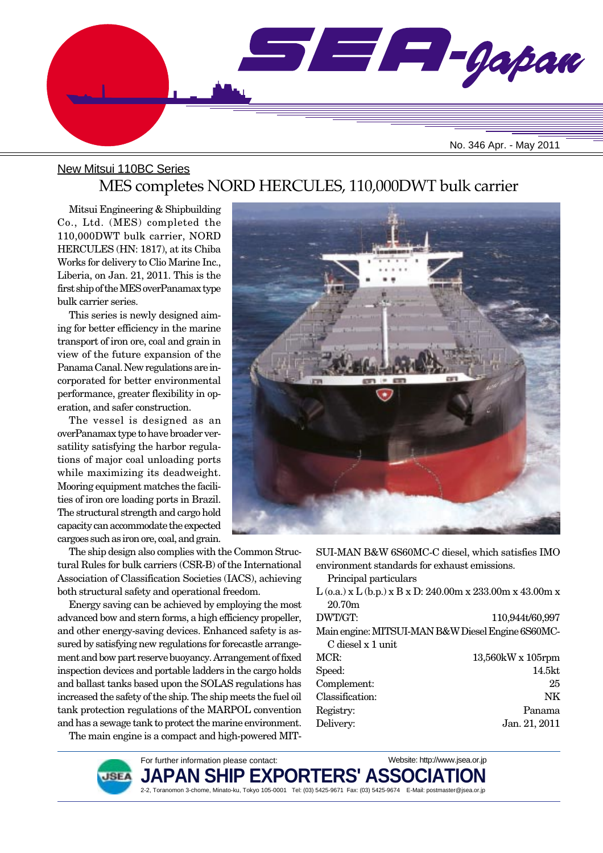

### New Mitsui 110BC Series MES completes NORD HERCULES, 110,000DWT bulk carrier

Mitsui Engineering & Shipbuilding Co., Ltd. (MES) completed the 110,000DWT bulk carrier, NORD HERCULES (HN: 1817), at its Chiba Works for delivery to Clio Marine Inc., Liberia, on Jan. 21, 2011. This is the first ship of the MES overPanamax type bulk carrier series.

This series is newly designed aiming for better efficiency in the marine transport of iron ore, coal and grain in view of the future expansion of the Panama Canal. New regulations are incorporated for better environmental performance, greater flexibility in operation, and safer construction.

The vessel is designed as an overPanamax type to have broader versatility satisfying the harbor regulations of major coal unloading ports while maximizing its deadweight. Mooring equipment matches the facilities of iron ore loading ports in Brazil. The structural strength and cargo hold capacity can accommodate the expected cargoes such as iron ore, coal, and grain.

The ship design also complies with the Common Structural Rules for bulk carriers (CSR-B) of the International Association of Classification Societies (IACS), achieving both structural safety and operational freedom.

Energy saving can be achieved by employing the most advanced bow and stern forms, a high efficiency propeller, and other energy-saving devices. Enhanced safety is assured by satisfying new regulations for forecastle arrangement and bow part reserve buoyancy. Arrangement of fixed inspection devices and portable ladders in the cargo holds and ballast tanks based upon the SOLAS regulations has increased the safety of the ship. The ship meets the fuel oil tank protection regulations of the MARPOL convention and has a sewage tank to protect the marine environment.

The main engine is a compact and high-powered MIT-



SUI-MAN B&W 6S60MC-C diesel, which satisfies IMO environment standards for exhaust emissions.

Principal particulars

L (o.a.) x L (b.p.) x B x D: 240.00m x 233.00m x 43.00m x 20.70m

| DWT/GT:           | 110,944t/60,997                                   |
|-------------------|---------------------------------------------------|
|                   | Main engine: MITSUI-MAN B&W Diesel Engine 6S60MC- |
| C diesel x 1 unit |                                                   |
| MCR:              | $13,560$ kW x $105$ rpm                           |
| Speed:            | 14.5kt                                            |
| Complement:       | 25                                                |
| Classification:   | NK.                                               |
| Registry:         | Panama                                            |

Delivery: Jan. 21, 2011

**JSEA** 

For further information please contact: JAPAN SHIP EXPORTERS' ASSO**(** 2-2, Toranomon 3-chome, Minato-ku, Tokyo 105-0001 Tel: (03) 5425-9671 Fax: (03) 5425-9674 E-Mail: postmaster@jsea.or.jp Website: http://www.jsea.or.jp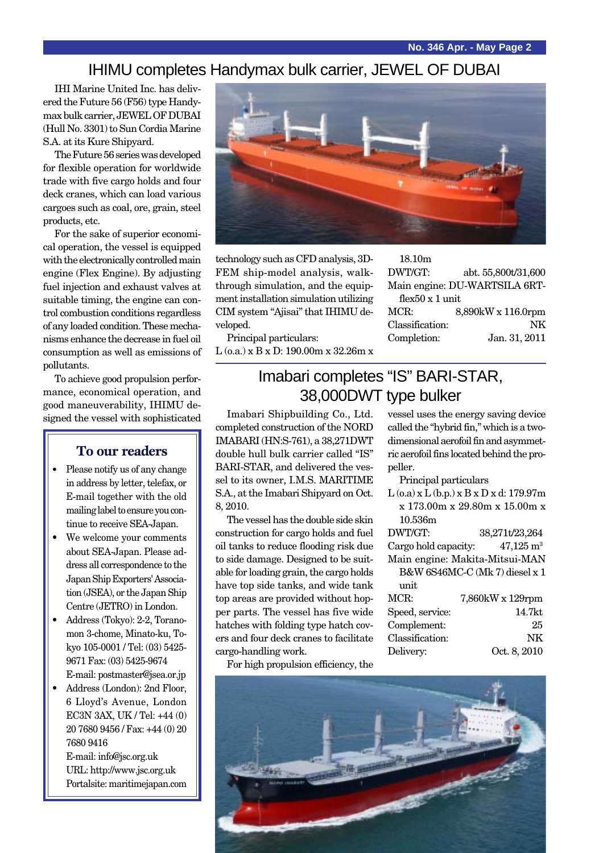### IHIMU completes Handymax bulk carrier, JEWEL OF DUBAI

IHI Marine United Inc. has delivered the Future 56 (F56) type Handymax bulk carrier, JEWEL OF DUBAI (Hull No. 3301) to Sun Cordia Marine S.A. at its Kure Shipyard.

The Future 56 series was developed for flexible operation for worldwide trade with five cargo holds and four deck cranes, which can load various cargoes such as coal, ore, grain, steel products, etc.

For the sake of superior economical operation, the vessel is equipped with the electronically controlled main engine (Flex Engine). By adjusting fuel injection and exhaust valves at suitable timing, the engine can control combustion conditions regardless of any loaded condition. These mechanisms enhance the decrease in fuel oil consumption as well as emissions of pollutants.

To achieve good propulsion performance, economical operation, and good maneuverability, IHIMU designed the vessel with sophisticated

### **To our readers**

- Please notify us of any change in address by letter, telefax, or E-mail together with the old mailing label to ensure you continue to receive SEA-Japan.
- We welcome your comments about SEA-Japan. Please address all correspondence to the Japan Ship Exporters' Association (JSEA), or the Japan Ship Centre (JETRO) in London.
- Address (Tokyo): 2-2, Toranomon 3-chome, Minato-ku, Tokyo 105-0001 / Tel: (03) 5425- 9671 Fax: (03) 5425-9674 E-mail: postmaster@jsea.or.jp
- Address (London): 2nd Floor,
- 6 Lloyd's Avenue, London EC3N 3AX, UK / Tel: +44 (0) 20 7680 9456 / Fax: +44 (0) 20 7680 9416

E-mail: info@jsc.org.uk URL: http://www.jsc.org.uk Portalsite: maritimejapan.com



technology such as CFD analysis, 3D-FEM ship-model analysis, walkthrough simulation, and the equipment installation simulation utilizing CIM system "Ajisai" that IHIMU developed.

Principal particulars: L (o.a.) x B x D: 190.00m x 32.26m x

| 18.10 <sub>m</sub>      |                               |
|-------------------------|-------------------------------|
| DWT/GT:                 | abt. 55,800t/31,600           |
|                         | Main engine: DU-WARTSILA 6RT- |
| flex $50 \times 1$ unit |                               |
| MCR:                    | 8,890kW x 116.0rpm            |
| Classification:         | NK                            |
| Completion:             | Jan. 31, 2011                 |
|                         |                               |

## Imabari completes "IS" BARI-STAR, 38,000DWT type bulker

Imabari Shipbuilding Co., Ltd. completed construction of the NORD IMABARI (HN:S-761), a 38,271DWT double hull bulk carrier called "IS" BARI-STAR, and delivered the vessel to its owner, I.M.S. MARITIME S.A., at the Imabari Shipyard on Oct. 8, 2010.

The vessel has the double side skin construction for cargo holds and fuel oil tanks to reduce flooding risk due to side damage. Designed to be suitable for loading grain, the cargo holds have top side tanks, and wide tank top areas are provided without hopper parts. The vessel has five wide hatches with folding type hatch covers and four deck cranes to facilitate cargo-handling work.

vessel uses the energy saving device called the "hybrid fin," which is a twodimensional aerofoil fin and asymmetric aerofoil fins located behind the propeller.

Principal particulars

L (o.a) x L (b.p.) x B x D x d: 179.97m x 173.00m x 29.80m x 15.00m x 10.536m

| DWT/GT:              | 38,271t/23,264                 |
|----------------------|--------------------------------|
| Cargo hold capacity: | $47,125 \text{ m}^3$           |
|                      | Main engine: Makita-Mitsui-MAN |
|                      | B&W 6S46MC-C (Mk 7) diesel x 1 |
| unit                 |                                |
| MCR:                 | 7,860kW x 129rpm               |
| Speed, service:      | 14.7 <sub>kt</sub>             |
| Complement:          | 25                             |
| Classification:      | NK                             |
| Delivery:            | Oct. 8, 2010                   |

For high propulsion efficiency, the

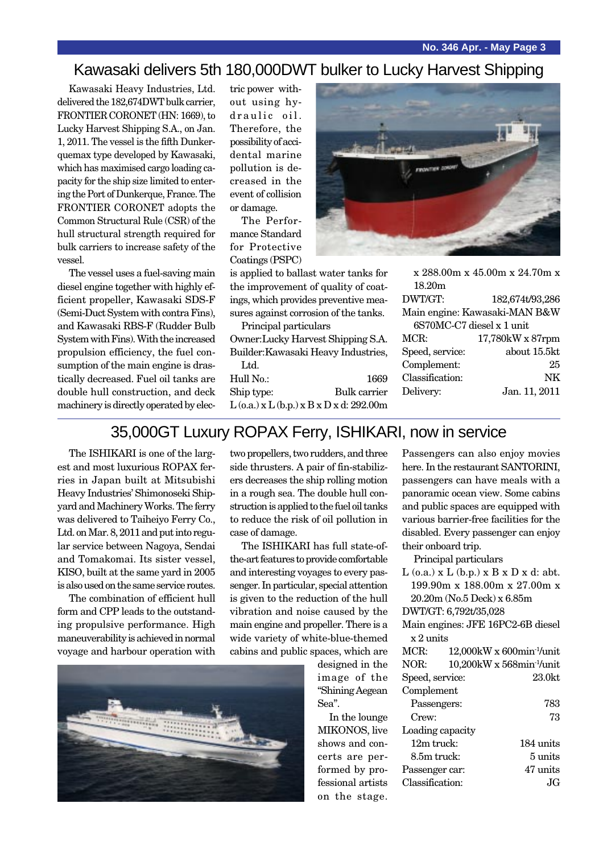### Kawasaki delivers 5th 180,000DWT bulker to Lucky Harvest Shipping

Kawasaki Heavy Industries, Ltd. delivered the 182,674DWT bulk carrier, FRONTIER CORONET (HN: 1669), to Lucky Harvest Shipping S.A., on Jan. 1, 2011. The vessel is the fifth Dunkerquemax type developed by Kawasaki, which has maximised cargo loading capacity for the ship size limited to entering the Port of Dunkerque, France. The FRONTIER CORONET adopts the Common Structural Rule (CSR) of the hull structural strength required for bulk carriers to increase safety of the vessel.

The vessel uses a fuel-saving main diesel engine together with highly efficient propeller, Kawasaki SDS-F (Semi-Duct System with contra Fins), and Kawasaki RBS-F (Rudder Bulb System with Fins). With the increased propulsion efficiency, the fuel consumption of the main engine is drastically decreased. Fuel oil tanks are double hull construction, and deck machinery is directly operated by elec-

tric power without using hydraulic oil. Therefore, the possibility of accidental marine pollution is decreased in the event of collision or damage.

The Performance Standard for Protective Coatings (PSPC)

is applied to ballast water tanks for the improvement of quality of coatings, which provides preventive measures against corrosion of the tanks.

Principal particulars Owner:Lucky Harvest Shipping S.A. Builder:Kawasaki Heavy Industries, Ltd.

| Hull No.:  | 1669                                             |
|------------|--------------------------------------------------|
| Ship type: | Bulk carrier                                     |
|            | $L$ (o.a.) x $L$ (b.p.) x $B$ x $D$ x d: 292.00m |



|                           | $x\,288.00$ m x 45.00m x 24.70m x |
|---------------------------|-----------------------------------|
| 18.20m                    |                                   |
| DWT/GT:                   | 182,674t/93,286                   |
|                           | Main engine: Kawasaki-MAN B&W     |
| 6S70MC-C7 diesel x 1 unit |                                   |
| MCR:                      | 17,780kW x 87rpm                  |
| Speed, service:           | about 15.5kt                      |
| Complement:               | 25                                |
| Classification:           | NK                                |
| Delivery:                 | Jan. 11, 2011                     |
|                           |                                   |

### 35,000GT Luxury ROPAX Ferry, ISHIKARI, now in service

The ISHIKARI is one of the largest and most luxurious ROPAX ferries in Japan built at Mitsubishi Heavy Industries' Shimonoseki Shipyard and Machinery Works. The ferry was delivered to Taiheiyo Ferry Co., Ltd. on Mar. 8, 2011 and put into regular service between Nagoya, Sendai and Tomakomai. Its sister vessel, KISO, built at the same yard in 2005 is also used on the same service routes.

The combination of efficient hull form and CPP leads to the outstanding propulsive performance. High maneuverability is achieved in normal voyage and harbour operation with

two propellers, two rudders, and three side thrusters. A pair of fin-stabilizers decreases the ship rolling motion in a rough sea. The double hull construction is applied to the fuel oil tanks to reduce the risk of oil pollution in case of damage.

The ISHIKARI has full state-ofthe-art features to provide comfortable and interesting voyages to every passenger. In particular, special attention is given to the reduction of the hull vibration and noise caused by the main engine and propeller. There is a wide variety of white-blue-themed cabins and public spaces, which are



Passengers can also enjoy movies here. In the restaurant SANTORINI, passengers can have meals with a panoramic ocean view. Some cabins and public spaces are equipped with various barrier-free facilities for the disabled. Every passenger can enjoy their onboard trip.

Principal particulars

 $L$  (o.a.) x  $L$  (b.p.) x  $B$  x  $D$  x d: abt. 199.90m x 188.00m x 27.00m x 20.20m (No.5 Deck) x 6.85m DWT/GT: 6,792t/35,028

|           | Main engines: JFE 16PC2-6B diesel |  |
|-----------|-----------------------------------|--|
| x 2 units |                                   |  |

| MCR:            |                  | $12,000$ kW x 600min <sup>-1</sup> /unit |
|-----------------|------------------|------------------------------------------|
| NOR:            |                  | $10,200$ kW x 568min <sup>-1</sup> /unit |
| Speed, service: |                  | 23.0kt                                   |
| Complement      |                  |                                          |
| Passengers:     |                  | 783                                      |
| $C$ rew:        |                  | 73                                       |
|                 | Loading capacity |                                          |
| $12m$ truck:    |                  | 184 units                                |
| 8.5m truck:     |                  | $5 \text{ units}$                        |
| Passenger car:  |                  | 47 units                                 |
| Classification: |                  | .IG                                      |
|                 |                  |                                          |

designed in the image of the "Shining Aegean Sea".

In the lounge MIKONOS, live shows and concerts are performed by professional artists on the stage.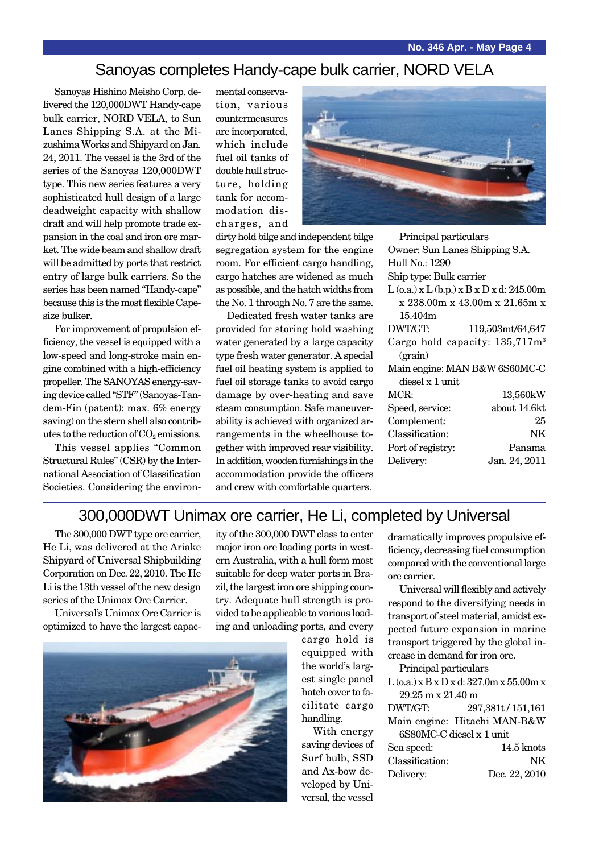### Sanoyas completes Handy-cape bulk carrier, NORD VELA

Sanoyas Hishino Meisho Corp. delivered the 120,000DWT Handy-cape bulk carrier, NORD VELA, to Sun Lanes Shipping S.A. at the Mizushima Works and Shipyard on Jan. 24, 2011. The vessel is the 3rd of the series of the Sanoyas 120,000DWT type. This new series features a very sophisticated hull design of a large deadweight capacity with shallow draft and will help promote trade expansion in the coal and iron ore market. The wide beam and shallow draft will be admitted by ports that restrict entry of large bulk carriers. So the series has been named "Handy-cape" because this is the most flexible Capesize bulker.

For improvement of propulsion efficiency, the vessel is equipped with a low-speed and long-stroke main engine combined with a high-efficiency propeller. The SANOYAS energy-saving device called "STF" (Sanoyas-Tandem-Fin (patent): max. 6% energy saving) on the stern shell also contributes to the reduction of  $CO<sub>2</sub>$  emissions.

This vessel applies "Common Structural Rules" (CSR) by the International Association of Classification Societies. Considering the environmental conservation, various countermeasures are incorporated, which include fuel oil tanks of double hull structure, holding tank for accommodation discharges, and



dirty hold bilge and independent bilge segregation system for the engine room. For efficient cargo handling, cargo hatches are widened as much as possible, and the hatch widths from the No. 1 through No. 7 are the same.

Dedicated fresh water tanks are provided for storing hold washing water generated by a large capacity type fresh water generator. A special fuel oil heating system is applied to fuel oil storage tanks to avoid cargo damage by over-heating and save steam consumption. Safe maneuverability is achieved with organized arrangements in the wheelhouse together with improved rear visibility. In addition, wooden furnishings in the accommodation provide the officers and crew with comfortable quarters.

| Principal particulars          |                                                  |
|--------------------------------|--------------------------------------------------|
| Owner: Sun Lanes Shipping S.A. |                                                  |
| Hull No.: 1290                 |                                                  |
| Ship type: Bulk carrier        |                                                  |
|                                | $L$ (o.a.) x $L$ (b.p.) x $B$ x $D$ x d: 245.00m |
|                                | $x\,238.00m\ x\,43.00m\ x\,21.65m\ x$            |
| 15.404m                        |                                                  |
| DWT/GT:                        | 119,503mt/64,647                                 |
|                                | Cargo hold capacity: $135,717m3$                 |
| (grain)                        |                                                  |
|                                | Main engine: MAN B&W 6S60MC-C                    |
| diesel x 1 unit.               |                                                  |
| MCR:                           | 13,560kW                                         |
| Speed, service:                | about 14.6kt                                     |
| Complement:                    | 25                                               |
| Classification:                | NK                                               |
| Port of registry:              | Panama                                           |
| Delivery:                      | Jan. 24, 2011                                    |
|                                |                                                  |

### 300,000DWT Unimax ore carrier, He Li, completed by Universal

The 300,000 DWT type ore carrier, He Li, was delivered at the Ariake Shipyard of Universal Shipbuilding Corporation on Dec. 22, 2010. The He Li is the 13th vessel of the new design series of the Unimax Ore Carrier.

Universal's Unimax Ore Carrier is optimized to have the largest capacity of the 300,000 DWT class to enter major iron ore loading ports in western Australia, with a hull form most suitable for deep water ports in Brazil, the largest iron ore shipping country. Adequate hull strength is provided to be applicable to various loading and unloading ports, and every



With energy saving devices of Surf bulb, SSD and Ax-bow developed by Universal, the vessel

dramatically improves propulsive efficiency, decreasing fuel consumption compared with the conventional large ore carrier.

Universal will flexibly and actively respond to the diversifying needs in transport of steel material, amidst expected future expansion in marine transport triggered by the global increase in demand for iron ore.

Principal particulars

| $\rm L$ (o.a.) x $\rm B$ x $\rm D$ x d: 327.0m x 55.00m x |  |
|-----------------------------------------------------------|--|
| $29.25 \text{ m} \times 21.40 \text{ m}$                  |  |

| DWT/GT:         | 297,381t/151,161             |
|-----------------|------------------------------|
|                 | Main engine: Hitachi MAN-B&W |
|                 | 6S80MC-C diesel x 1 unit     |
| Sea speed:      | 14.5 knots                   |
| Classification: | NK                           |
| Delivery:       | Dec. 22, 2010                |

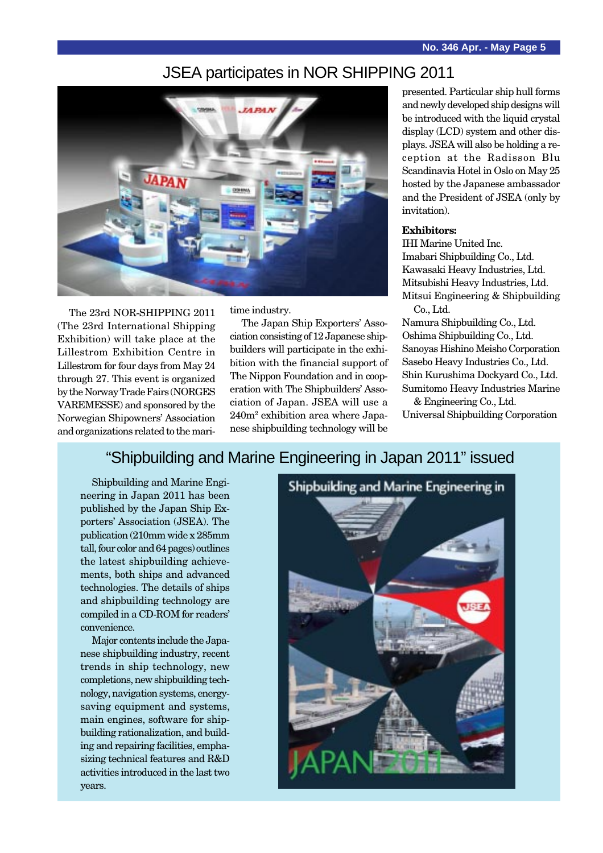## JSEA participates in NOR SHIPPING 2011



The 23rd NOR-SHIPPING 2011 (The 23rd International Shipping Exhibition) will take place at the Lillestrom Exhibition Centre in Lillestrom for four days from May 24 through 27. This event is organized by the Norway Trade Fairs (NORGES VAREMESSE) and sponsored by the Norwegian Shipowners' Association and organizations related to the maritime industry.

The Japan Ship Exporters' Association consisting of 12 Japanese shipbuilders will participate in the exhibition with the financial support of The Nippon Foundation and in cooperation with The Shipbuilders' Association of Japan. JSEA will use a 240m2 exhibition area where Japanese shipbuilding technology will be

presented. Particular ship hull forms and newly developed ship designs will be introduced with the liquid crystal display (LCD) system and other displays. JSEA will also be holding a reception at the Radisson Blu Scandinavia Hotel in Oslo on May 25 hosted by the Japanese ambassador and the President of JSEA (only by invitation).

#### **Exhibitors:**

IHI Marine United Inc. Imabari Shipbuilding Co., Ltd. Kawasaki Heavy Industries, Ltd. Mitsubishi Heavy Industries, Ltd. Mitsui Engineering & Shipbuilding Co., Ltd.

Namura Shipbuilding Co., Ltd. Oshima Shipbuilding Co., Ltd. Sanoyas Hishino Meisho Corporation Sasebo Heavy Industries Co., Ltd. Shin Kurushima Dockyard Co., Ltd. Sumitomo Heavy Industries Marine

& Engineering Co., Ltd. Universal Shipbuilding Corporation

### "Shipbuilding and Marine Engineering in Japan 2011" issued

Shipbuilding and Marine Engineering in Japan 2011 has been published by the Japan Ship Exporters' Association (JSEA). The publication (210mm wide x 285mm tall, four color and 64 pages) outlines the latest shipbuilding achievements, both ships and advanced technologies. The details of ships and shipbuilding technology are compiled in a CD-ROM for readers' convenience.

Major contents include the Japanese shipbuilding industry, recent trends in ship technology, new completions, new shipbuilding technology, navigation systems, energysaving equipment and systems, main engines, software for shipbuilding rationalization, and building and repairing facilities, emphasizing technical features and R&D activities introduced in the last two years.